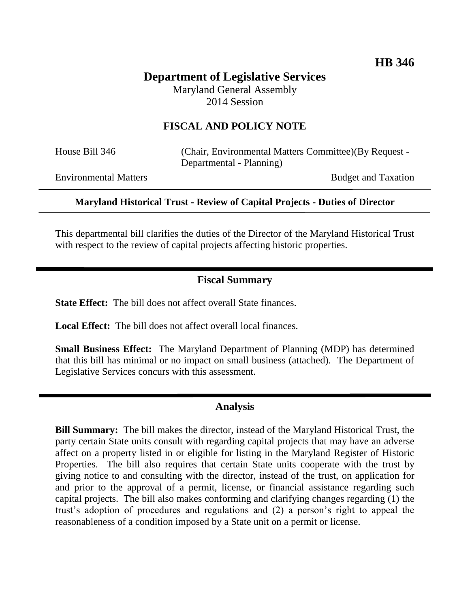# **Department of Legislative Services**

Maryland General Assembly 2014 Session

### **FISCAL AND POLICY NOTE**

House Bill 346 (Chair, Environmental Matters Committee)(By Request - Departmental - Planning)

Environmental Matters **Budget and Taxation** 

#### **Maryland Historical Trust - Review of Capital Projects - Duties of Director**

This departmental bill clarifies the duties of the Director of the Maryland Historical Trust with respect to the review of capital projects affecting historic properties.

# **Fiscal Summary**

**State Effect:** The bill does not affect overall State finances.

**Local Effect:** The bill does not affect overall local finances.

**Small Business Effect:** The Maryland Department of Planning (MDP) has determined that this bill has minimal or no impact on small business (attached). The Department of Legislative Services concurs with this assessment.

#### **Analysis**

**Bill Summary:** The bill makes the director, instead of the Maryland Historical Trust, the party certain State units consult with regarding capital projects that may have an adverse affect on a property listed in or eligible for listing in the Maryland Register of Historic Properties. The bill also requires that certain State units cooperate with the trust by giving notice to and consulting with the director, instead of the trust, on application for and prior to the approval of a permit, license, or financial assistance regarding such capital projects. The bill also makes conforming and clarifying changes regarding (1) the trust's adoption of procedures and regulations and (2) a person's right to appeal the reasonableness of a condition imposed by a State unit on a permit or license.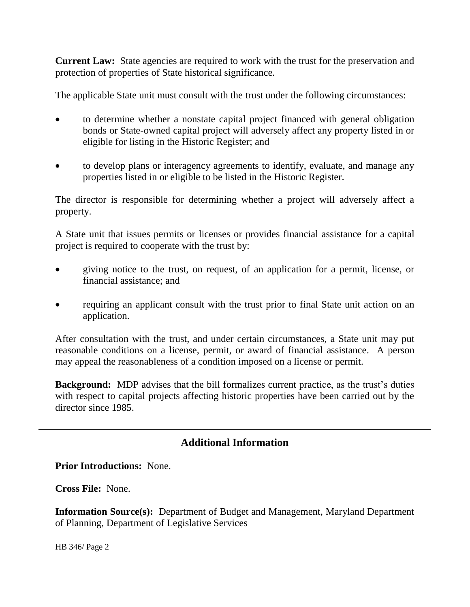**Current Law:** State agencies are required to work with the trust for the preservation and protection of properties of State historical significance.

The applicable State unit must consult with the trust under the following circumstances:

- to determine whether a nonstate capital project financed with general obligation bonds or State-owned capital project will adversely affect any property listed in or eligible for listing in the Historic Register; and
- to develop plans or interagency agreements to identify, evaluate, and manage any properties listed in or eligible to be listed in the Historic Register.

The director is responsible for determining whether a project will adversely affect a property.

A State unit that issues permits or licenses or provides financial assistance for a capital project is required to cooperate with the trust by:

- giving notice to the trust, on request, of an application for a permit, license, or financial assistance; and
- requiring an applicant consult with the trust prior to final State unit action on an application.

After consultation with the trust, and under certain circumstances, a State unit may put reasonable conditions on a license, permit, or award of financial assistance. A person may appeal the reasonableness of a condition imposed on a license or permit.

**Background:** MDP advises that the bill formalizes current practice, as the trust's duties with respect to capital projects affecting historic properties have been carried out by the director since 1985.

# **Additional Information**

**Prior Introductions:** None.

**Cross File:** None.

**Information Source(s):** Department of Budget and Management, Maryland Department of Planning, Department of Legislative Services

HB 346/ Page 2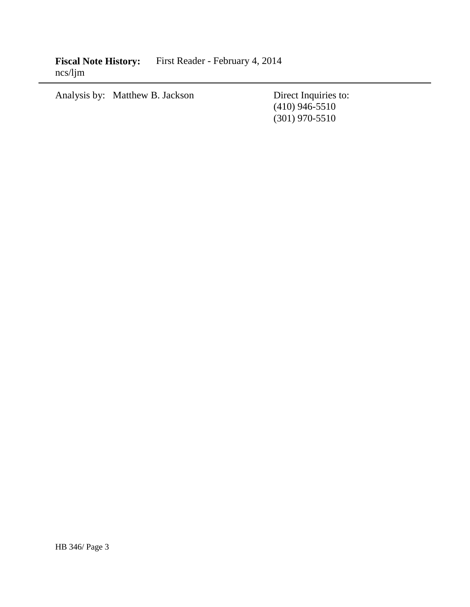Fiscal Note History: First Reader - February 4, 2014 ncs/ljm

Analysis by: Matthew B. Jackson

Direct Inquiries to:<br>(410) 946-5510 (301) 970-5510